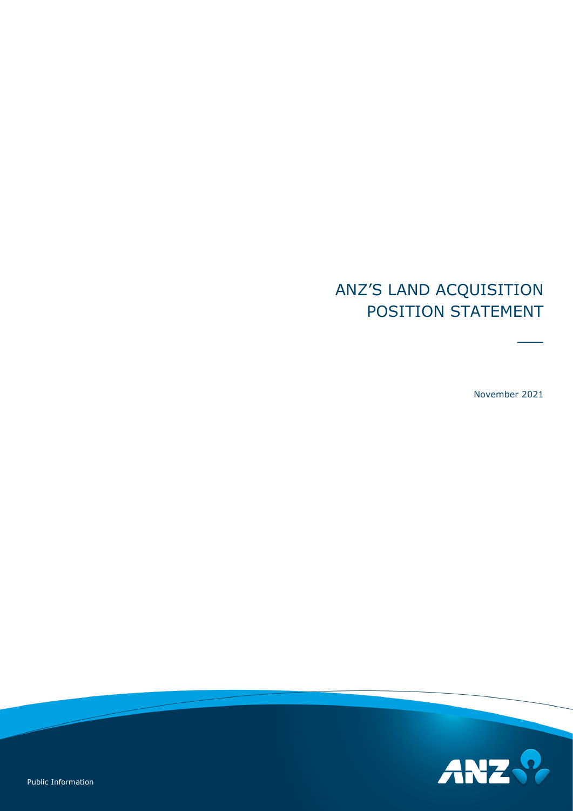# ANZ'S LAND ACQUISITION POSITION STATEMENT

November 2021

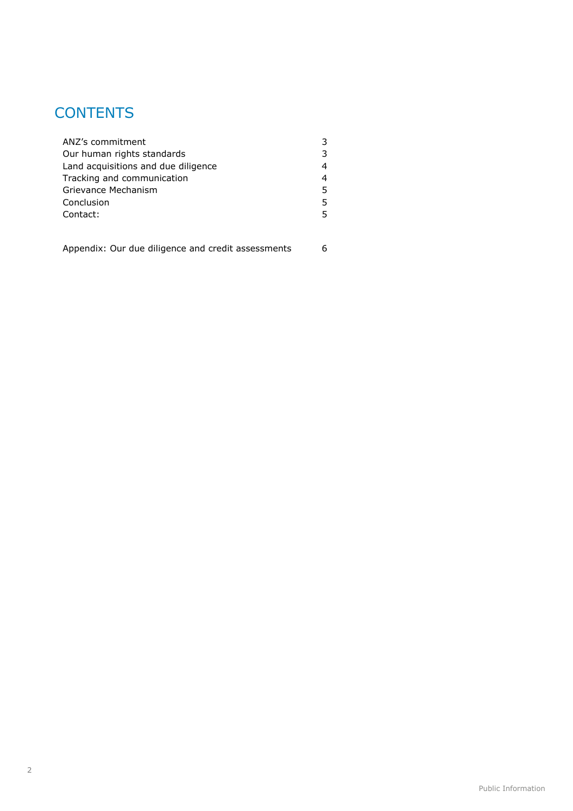## **CONTENTS**

| ANZ's commitment                    |   |
|-------------------------------------|---|
| Our human rights standards          |   |
| Land acquisitions and due diligence |   |
| Tracking and communication          |   |
| Grievance Mechanism                 | 5 |
| Conclusion                          | 5 |
| Contact:                            | 5 |
|                                     |   |

[Appendix: Our due diligence and credit assessments](#page-5-0) 6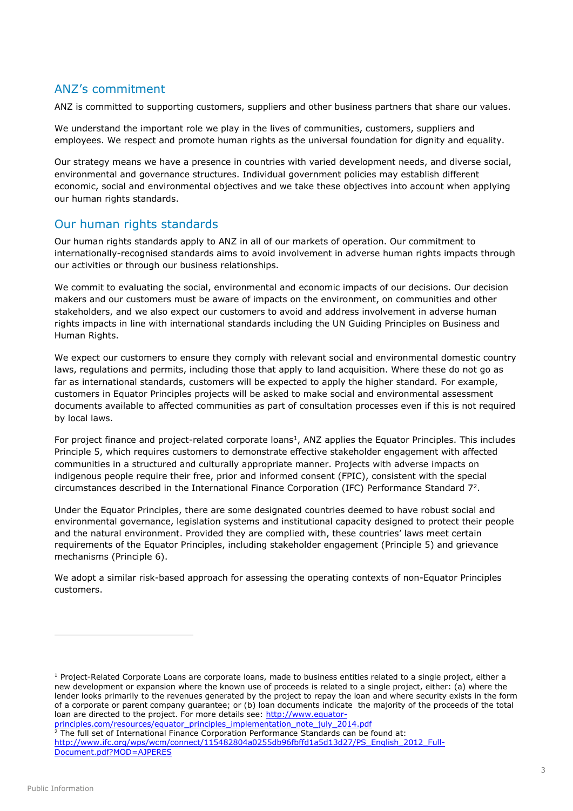## <span id="page-2-0"></span>ANZ's commitment

ANZ is committed to supporting customers, suppliers and other business partners that share our values.

We understand the important role we play in the lives of communities, customers, suppliers and employees. We respect and promote human rights as the universal foundation for dignity and equality.

Our strategy means we have a presence in countries with varied development needs, and diverse social, environmental and governance structures. Individual government policies may establish different economic, social and environmental objectives and we take these objectives into account when applying our human rights standards.

## <span id="page-2-1"></span>Our human rights standards

Our human rights standards apply to ANZ in all of our markets of operation. Our commitment to internationally-recognised standards aims to avoid involvement in adverse human rights impacts through our activities or through our business relationships.

We commit to evaluating the social, environmental and economic impacts of our decisions. Our decision makers and our customers must be aware of impacts on the environment, on communities and other stakeholders, and we also expect our customers to avoid and address involvement in adverse human rights impacts in line with international standards including the UN Guiding Principles on Business and Human Rights.

We expect our customers to ensure they comply with relevant social and environmental domestic country laws, regulations and permits, including those that apply to land acquisition. Where these do not go as far as international standards, customers will be expected to apply the higher standard. For example, customers in Equator Principles projects will be asked to make social and environmental assessment documents available to affected communities as part of consultation processes even if this is not required by local laws.

For project finance and project-related corporate loans<sup>1</sup>, ANZ applies the Equator Principles. This includes Principle 5, which requires customers to demonstrate effective stakeholder engagement with affected communities in a structured and culturally appropriate manner. Projects with adverse impacts on indigenous people require their free, prior and informed consent (FPIC), consistent with the special circumstances described in the International Finance Corporation (IFC) Performance Standard 7 2 .

Under the Equator Principles, there are some designated countries deemed to have robust social and environmental governance, legislation systems and institutional capacity designed to protect their people and the natural environment. Provided they are complied with, these countries' laws meet certain requirements of the Equator Principles, including stakeholder engagement (Principle 5) and grievance mechanisms (Principle 6).

We adopt a similar risk-based approach for assessing the operating contexts of non-Equator Principles customers.

[principles.com/resources/equator\\_principles\\_implementation\\_note\\_july\\_2014.pdf](http://www.equator-principles.com/resources/equator_principles_implementation_note_july_2014.pdf) <sup>2</sup> The full set of International Finance Corporation Performance Standards can be found at: [http://www.ifc.org/wps/wcm/connect/115482804a0255db96fbffd1a5d13d27/PS\\_English\\_2012\\_Full-](http://www.ifc.org/wps/wcm/connect/115482804a0255db96fbffd1a5d13d27/PS_English_2012_Full-Document.pdf?MOD=AJPERES)[Document.pdf?MOD=AJPERES](http://www.ifc.org/wps/wcm/connect/115482804a0255db96fbffd1a5d13d27/PS_English_2012_Full-Document.pdf?MOD=AJPERES)

-

 $1$  Project-Related Corporate Loans are corporate loans, made to business entities related to a single project, either a new development or expansion where the known use of proceeds is related to a single project, either: (a) where the lender looks primarily to the revenues generated by the project to repay the loan and where security exists in the form of a corporate or parent company guarantee; or (b) loan documents indicate the majority of the proceeds of the total loan are directed to the project. For more details see: [http://www.equator-](http://www.equator-principles.com/resources/equator_principles_implementation_note_july_2014.pdf)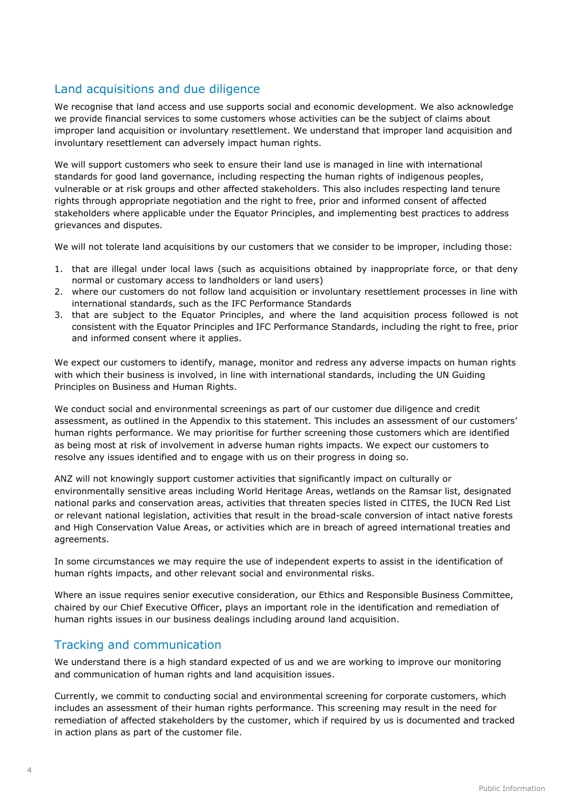## <span id="page-3-0"></span>Land acquisitions and due diligence

We recognise that land access and use supports social and economic development. We also acknowledge we provide financial services to some customers whose activities can be the subject of claims about improper land acquisition or involuntary resettlement. We understand that improper land acquisition and involuntary resettlement can adversely impact human rights.

We will support customers who seek to ensure their land use is managed in line with international standards for good land governance, including respecting the human rights of indigenous peoples, vulnerable or at risk groups and other affected stakeholders. This also includes respecting land tenure rights through appropriate negotiation and the right to free, prior and informed consent of affected stakeholders where applicable under the Equator Principles, and implementing best practices to address grievances and disputes.

We will not tolerate land acquisitions by our customers that we consider to be improper, including those:

- 1. that are illegal under local laws (such as acquisitions obtained by inappropriate force, or that deny normal or customary access to landholders or land users)
- 2. where our customers do not follow land acquisition or involuntary resettlement processes in line with international standards, such as the IFC Performance Standards
- 3. that are subject to the Equator Principles, and where the land acquisition process followed is not consistent with the Equator Principles and IFC Performance Standards, including the right to free, prior and informed consent where it applies.

We expect our customers to identify, manage, monitor and redress any adverse impacts on human rights with which their business is involved, in line with international standards, including the UN Guiding Principles on Business and Human Rights.

We conduct social and environmental screenings as part of our customer due diligence and credit assessment, as outlined in the Appendix to this statement. This includes an assessment of our customers' human rights performance. We may prioritise for further screening those customers which are identified as being most at risk of involvement in adverse human rights impacts. We expect our customers to resolve any issues identified and to engage with us on their progress in doing so.

ANZ will not knowingly support customer activities that significantly impact on culturally or environmentally sensitive areas including World Heritage Areas, wetlands on the Ramsar list, designated national parks and conservation areas, activities that threaten species listed in CITES, the IUCN Red List or relevant national legislation, activities that result in the broad-scale conversion of intact native forests and High Conservation Value Areas, or activities which are in breach of agreed international treaties and agreements.

In some circumstances we may require the use of independent experts to assist in the identification of human rights impacts, and other relevant social and environmental risks.

Where an issue requires senior executive consideration, our Ethics and Responsible Business Committee, chaired by our Chief Executive Officer, plays an important role in the identification and remediation of human rights issues in our business dealings including around land acquisition.

## <span id="page-3-1"></span>Tracking and communication

We understand there is a high standard expected of us and we are working to improve our monitoring and communication of human rights and land acquisition issues.

Currently, we commit to conducting social and environmental screening for corporate customers, which includes an assessment of their human rights performance. This screening may result in the need for remediation of affected stakeholders by the customer, which if required by us is documented and tracked in action plans as part of the customer file.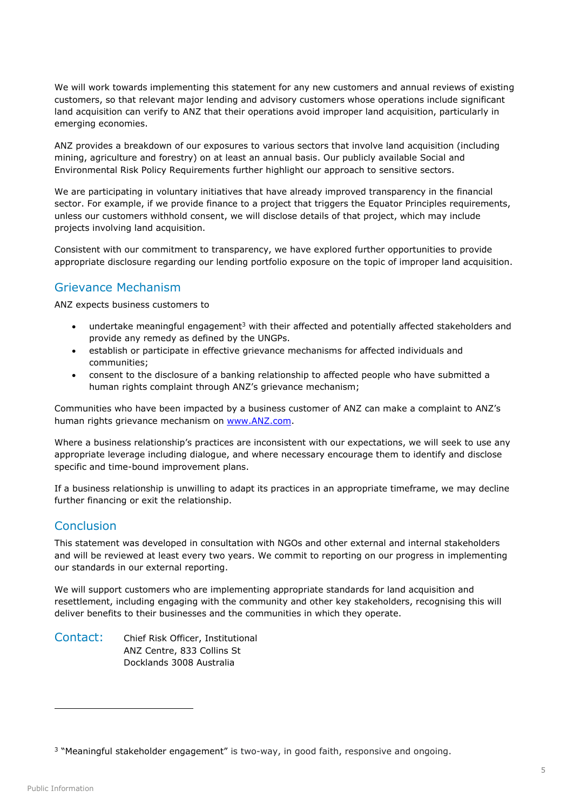We will work towards implementing this statement for any new customers and annual reviews of existing customers, so that relevant major lending and advisory customers whose operations include significant land acquisition can verify to ANZ that their operations avoid improper land acquisition, particularly in emerging economies.

ANZ provides a breakdown of our exposures to various sectors that involve land acquisition (including mining, agriculture and forestry) on at least an annual basis. Our publicly available Social and Environmental Risk Policy Requirements further highlight our approach to sensitive sectors.

We are participating in voluntary initiatives that have already improved transparency in the financial sector. For example, if we provide finance to a project that triggers the Equator Principles requirements, unless our customers withhold consent, we will disclose details of that project, which may include projects involving land acquisition.

Consistent with our commitment to transparency, we have explored further opportunities to provide appropriate disclosure regarding our lending portfolio exposure on the topic of improper land acquisition.

#### <span id="page-4-0"></span>Grievance Mechanism

ANZ expects business customers to

- $\bullet$  undertake meaningful engagement<sup>3</sup> with their affected and potentially affected stakeholders and provide any remedy as defined by the UNGPs.
- establish or participate in effective grievance mechanisms for affected individuals and communities;
- consent to the disclosure of a banking relationship to affected people who have submitted a human rights complaint through ANZ's grievance mechanism;

Communities who have been impacted by a business customer of ANZ can make a complaint to ANZ's human rights grievance mechanism on [www.ANZ.com.](http://www.anz.com/)

Where a business relationship's practices are inconsistent with our expectations, we will seek to use any appropriate leverage including dialogue, and where necessary encourage them to identify and disclose specific and time-bound improvement plans.

If a business relationship is unwilling to adapt its practices in an appropriate timeframe, we may decline further financing or exit the relationship.

## <span id="page-4-1"></span>Conclusion

This statement was developed in consultation with NGOs and other external and internal stakeholders and will be reviewed at least every two years. We commit to reporting on our progress in implementing our standards in our external reporting.

We will support customers who are implementing appropriate standards for land acquisition and resettlement, including engaging with the community and other key stakeholders, recognising this will deliver benefits to their businesses and the communities in which they operate.

<span id="page-4-2"></span>Contact: Chief Risk Officer, Institutional ANZ Centre, 833 Collins St Docklands 3008 Australia

-

<sup>&</sup>lt;sup>3</sup> "Meaningful stakeholder engagement" is two-way, in good faith, responsive and ongoing.